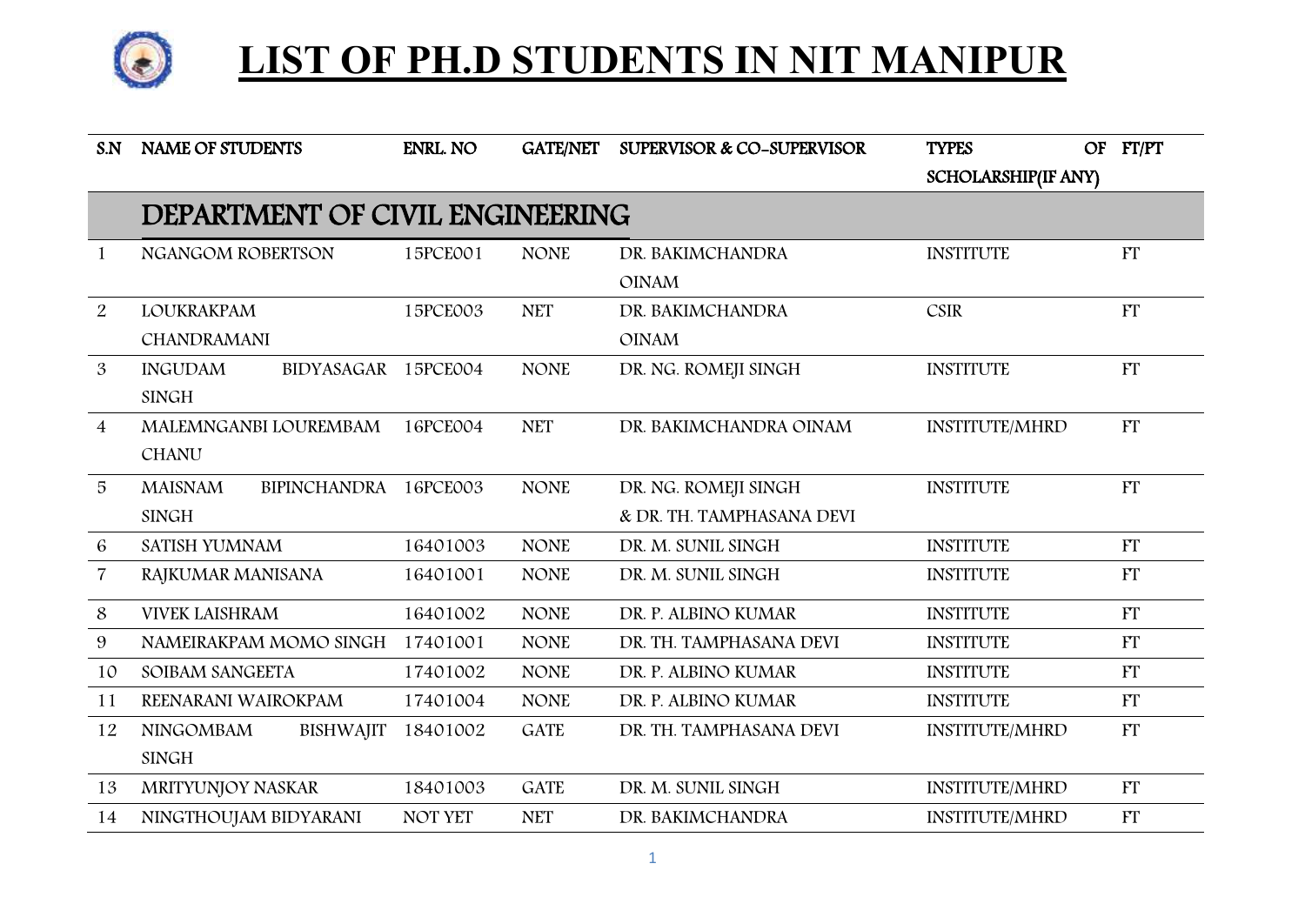

| S.N            | <b>NAME OF STUDENTS</b>               | <b>ENRL. NO</b> | <b>GATE/NET</b> | <b>SUPERVISOR &amp; CO-SUPERVISOR</b> | <b>TYPES</b>          | OF FT/PT  |
|----------------|---------------------------------------|-----------------|-----------------|---------------------------------------|-----------------------|-----------|
|                |                                       |                 |                 |                                       | SCHOLARSHIP(IF ANY)   |           |
|                | DEPARTMENT OF CIVIL ENGINEERING       |                 |                 |                                       |                       |           |
| 1              | NGANGOM ROBERTSON                     | 15PCE001        | <b>NONE</b>     | DR. BAKIMCHANDRA                      | <b>INSTITUTE</b>      | <b>FT</b> |
|                |                                       |                 |                 | <b>OINAM</b>                          |                       |           |
| 2              | <b>LOUKRAKPAM</b>                     | 15PCE003        | <b>NET</b>      | DR. BAKIMCHANDRA                      | <b>CSIR</b>           | <b>FT</b> |
|                | <b>CHANDRAMANI</b>                    |                 |                 | <b>OINAM</b>                          |                       |           |
| 3              | BIDYASAGAR 15PCE004<br><b>INGUDAM</b> |                 | <b>NONE</b>     | DR. NG. ROMEJI SINGH                  | <b>INSTITUTE</b>      | FT        |
|                | <b>SINGH</b>                          |                 |                 |                                       |                       |           |
| $\overline{4}$ | MALEMNGANBI LOUREMBAM                 | 16PCE004        | <b>NET</b>      | DR. BAKIMCHANDRA OINAM                | <b>INSTITUTE/MHRD</b> | FT        |
|                | <b>CHANU</b>                          |                 |                 |                                       |                       |           |
| 5              | <b>BIPINCHANDRA</b><br><b>MAISNAM</b> | 16PCE003        | <b>NONE</b>     | DR. NG. ROMEJI SINGH                  | <b>INSTITUTE</b>      | FT        |
|                | <b>SINGH</b>                          |                 |                 | & DR. TH. TAMPHASANA DEVI             |                       |           |
| 6              | SATISH YUMNAM                         | 16401003        | <b>NONE</b>     | DR. M. SUNIL SINGH                    | <b>INSTITUTE</b>      | <b>FT</b> |
| $\overline{7}$ | RAJKUMAR MANISANA                     | 16401001        | <b>NONE</b>     | DR. M. SUNIL SINGH                    | <b>INSTITUTE</b>      | FT        |
| 8              | <b>VIVEK LAISHRAM</b>                 | 16401002        | <b>NONE</b>     | DR. P. ALBINO KUMAR                   | <b>INSTITUTE</b>      | <b>FT</b> |
| 9              | NAMEIRAKPAM MOMO SINGH                | 17401001        | <b>NONE</b>     | DR. TH. TAMPHASANA DEVI               | <b>INSTITUTE</b>      | FT        |
| 10             | SOIBAM SANGEETA                       | 17401002        | <b>NONE</b>     | DR. P. ALBINO KUMAR                   | <b>INSTITUTE</b>      | <b>FT</b> |
| 11             | REENARANI WAIROKPAM                   | 17401004        | <b>NONE</b>     | DR. P. ALBINO KUMAR                   | <b>INSTITUTE</b>      | FT        |
| 12             | <b>NINGOMBAM</b><br><b>BISHWAJIT</b>  | 18401002        | <b>GATE</b>     | DR. TH. TAMPHASANA DEVI               | <b>INSTITUTE/MHRD</b> | FT        |
|                | <b>SINGH</b>                          |                 |                 |                                       |                       |           |
| 13             | MRITYUNJOY NASKAR                     | 18401003        | <b>GATE</b>     | DR. M. SUNIL SINGH                    | <b>INSTITUTE/MHRD</b> | FT        |
| 14             | NINGTHOUJAM BIDYARANI                 | <b>NOT YET</b>  | <b>NET</b>      | DR. BAKIMCHANDRA                      | <b>INSTITUTE/MHRD</b> | <b>FT</b> |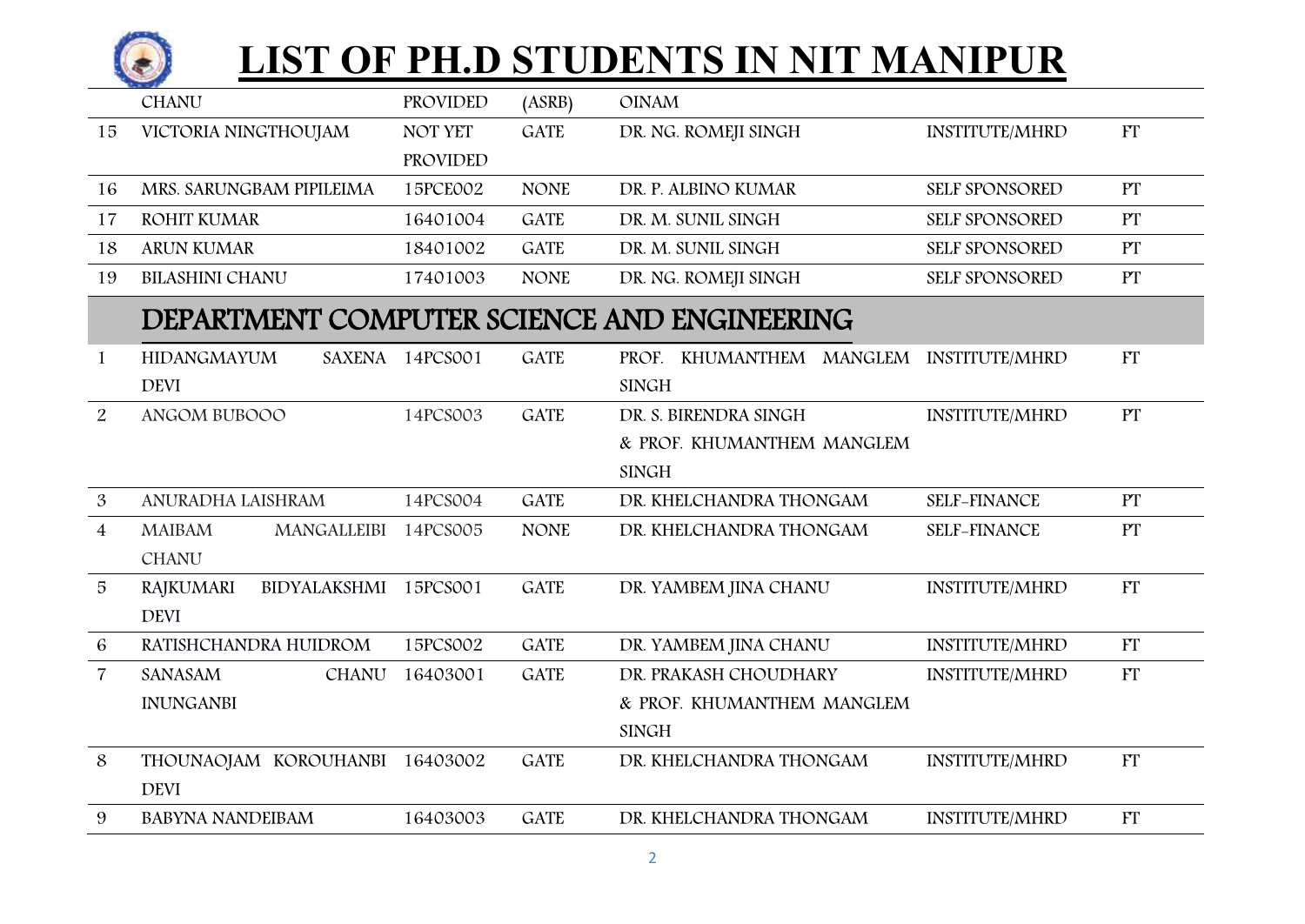G

|                 | <b>CHANU</b>                                | PROVIDED              | (ASRB)      | <b>OINAM</b>                            |                       |           |
|-----------------|---------------------------------------------|-----------------------|-------------|-----------------------------------------|-----------------------|-----------|
| 15              | VICTORIA NINGTHOUJAM                        | <b>NOT YET</b>        | <b>GATE</b> | DR. NG. ROMEJI SINGH                    | <b>INSTITUTE/MHRD</b> | <b>FT</b> |
|                 |                                             | PROVIDED              |             |                                         |                       |           |
| 16              | MRS. SARUNGBAM PIPILEIMA                    | 15PCE002              | <b>NONE</b> | DR. P. ALBINO KUMAR                     | SELF SPONSORED        | PT        |
| 17              | <b>ROHIT KUMAR</b>                          | 16401004              | <b>GATE</b> | DR. M. SUNIL SINGH                      | SELF SPONSORED        | PT        |
| 18              | <b>ARUN KUMAR</b>                           | 18401002              | <b>GATE</b> | DR. M. SUNIL SINGH                      | SELF SPONSORED        | PT        |
| 19              | <b>BILASHINI CHANU</b>                      | 17401003              | <b>NONE</b> | DR. NG. ROMEJI SINGH                    | SELF SPONSORED        | PT        |
|                 | DEPARTMENT COMPUTER SCIENCE AND ENGINEERING |                       |             |                                         |                       |           |
| $\mathbf{1}$    | HIDANGMAYUM                                 | SAXENA 14PCS001       | <b>GATE</b> | PROF. KHUMANTHEM MANGLEM INSTITUTE/MHRD |                       | FT        |
|                 | <b>DEVI</b>                                 |                       |             | <b>SINGH</b>                            |                       |           |
| $\overline{2}$  | ANGOM BUBOOO                                | 14PCS003              | <b>GATE</b> | DR. S. BIRENDRA SINGH                   | <b>INSTITUTE/MHRD</b> | PT        |
|                 |                                             |                       |             | & PROF. KHUMANTHEM MANGLEM              |                       |           |
|                 |                                             |                       |             | <b>SINGH</b>                            |                       |           |
| $\mathfrak{B}$  | ANURADHA LAISHRAM                           | 14PCS004              | <b>GATE</b> | DR. KHELCHANDRA THONGAM                 | SELF-FINANCE          | PT        |
| $\overline{4}$  | <b>MAIBAM</b><br>MANGALLEIBI 14PCS005       |                       | <b>NONE</b> | DR. KHELCHANDRA THONGAM                 | <b>SELF-FINANCE</b>   | PT        |
|                 | <b>CHANU</b>                                |                       |             |                                         |                       |           |
| $5\overline{)}$ | <b>RAJKUMARI</b>                            |                       |             |                                         |                       |           |
|                 |                                             | BIDYALAKSHMI 15PCS001 | <b>GATE</b> | DR. YAMBEM JINA CHANU                   | <b>INSTITUTE/MHRD</b> | <b>FT</b> |
|                 | <b>DEVI</b>                                 |                       |             |                                         |                       |           |
| 6               | RATISHCHANDRA HUIDROM                       | 15PCS002              | <b>GATE</b> | DR. YAMBEM JINA CHANU                   | <b>INSTITUTE/MHRD</b> | <b>FT</b> |
| $\overline{7}$  | <b>SANASAM</b><br>CHANU                     | 16403001              | <b>GATE</b> | DR. PRAKASH CHOUDHARY                   | <b>INSTITUTE/MHRD</b> | FT        |
|                 | <b>INUNGANBI</b>                            |                       |             | & PROF. KHUMANTHEM MANGLEM              |                       |           |
|                 |                                             |                       |             | <b>SINGH</b>                            |                       |           |
| 8               | THOUNAOJAM KOROUHANBI 16403002              |                       | <b>GATE</b> | DR. KHELCHANDRA THONGAM                 | <b>INSTITUTE/MHRD</b> | FT        |
|                 | <b>DEVI</b>                                 |                       |             |                                         |                       |           |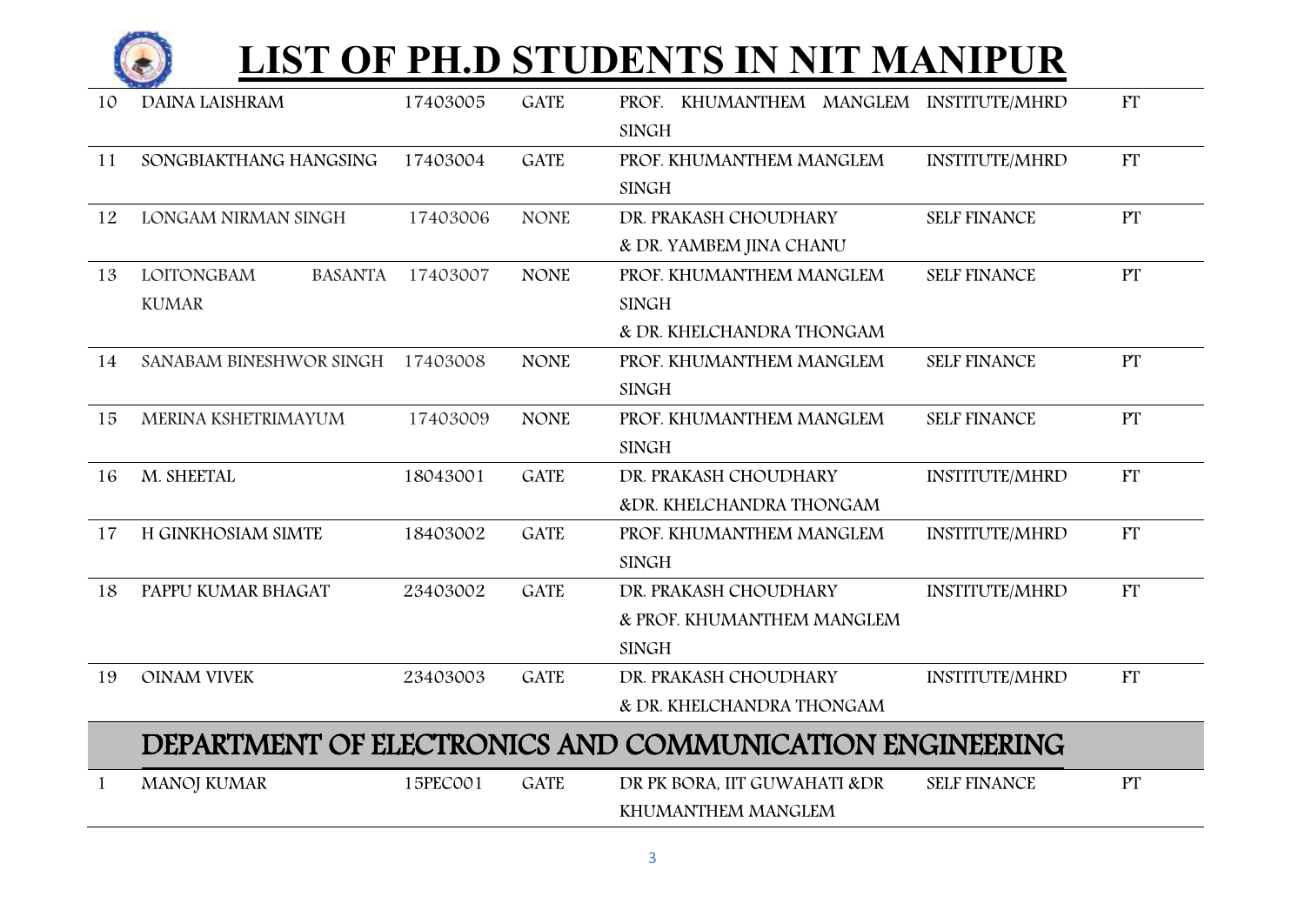

| 10           | <b>DAINA LAISHRAM</b>        | 17403005 | <b>GATE</b> | PROF. KHUMANTHEM MANGLEM INSTITUTE/MHRD<br><b>SINGH</b> |                       | FT        |
|--------------|------------------------------|----------|-------------|---------------------------------------------------------|-----------------------|-----------|
| 11           | SONGBIAKTHANG HANGSING       | 17403004 | <b>GATE</b> | PROF. KHUMANTHEM MANGLEM                                | <b>INSTITUTE/MHRD</b> | <b>FT</b> |
|              |                              |          |             | <b>SINGH</b>                                            |                       |           |
| 12           | LONGAM NIRMAN SINGH          | 17403006 | <b>NONE</b> | DR. PRAKASH CHOUDHARY                                   | <b>SELF FINANCE</b>   | PT        |
|              |                              |          |             | & DR. YAMBEM JINA CHANU                                 |                       |           |
| 13           | LOITONGBAM<br><b>BASANTA</b> | 17403007 | <b>NONE</b> | PROF. KHUMANTHEM MANGLEM                                | <b>SELF FINANCE</b>   | PT        |
|              | <b>KUMAR</b>                 |          |             | <b>SINGH</b>                                            |                       |           |
|              |                              |          |             | & DR. KHELCHANDRA THONGAM                               |                       |           |
| 14           | SANABAM BINESHWOR SINGH      | 17403008 | <b>NONE</b> | PROF. KHUMANTHEM MANGLEM                                | <b>SELF FINANCE</b>   | PT        |
|              |                              |          |             | <b>SINGH</b>                                            |                       |           |
| 15           | MERINA KSHETRIMAYUM          | 17403009 | <b>NONE</b> | PROF. KHUMANTHEM MANGLEM                                | <b>SELF FINANCE</b>   | PT        |
|              |                              |          |             | <b>SINGH</b>                                            |                       |           |
| 16           | M. SHEETAL                   | 18043001 | <b>GATE</b> | DR. PRAKASH CHOUDHARY                                   | <b>INSTITUTE/MHRD</b> | <b>FT</b> |
|              |                              |          |             | &DR. KHELCHANDRA THONGAM                                |                       |           |
| 17           | H GINKHOSIAM SIMTE           | 18403002 | <b>GATE</b> | PROF. KHUMANTHEM MANGLEM                                | <b>INSTITUTE/MHRD</b> | FT        |
|              |                              |          |             | <b>SINGH</b>                                            |                       |           |
| 18           | PAPPU KUMAR BHAGAT           | 23403002 | <b>GATE</b> | DR. PRAKASH CHOUDHARY                                   | <b>INSTITUTE/MHRD</b> | <b>FT</b> |
|              |                              |          |             | & PROF. KHUMANTHEM MANGLEM                              |                       |           |
|              |                              |          |             | <b>SINGH</b>                                            |                       |           |
| 19           | <b>OINAM VIVEK</b>           | 23403003 | <b>GATE</b> | DR. PRAKASH CHOUDHARY                                   | <b>INSTITUTE/MHRD</b> | <b>FT</b> |
|              |                              |          |             | & DR. KHELCHANDRA THONGAM                               |                       |           |
|              |                              |          |             | DEPARTMENT OF ELECTRONICS AND COMMUNICATION ENGINEERING |                       |           |
| $\mathbf{1}$ | <b>MANOJ KUMAR</b>           | 15PEC001 | <b>GATE</b> | DR PK BORA, IIT GUWAHATI &DR                            | <b>SELF FINANCE</b>   | PT        |
|              |                              |          |             | KHUMANTHEM MANGLEM                                      |                       |           |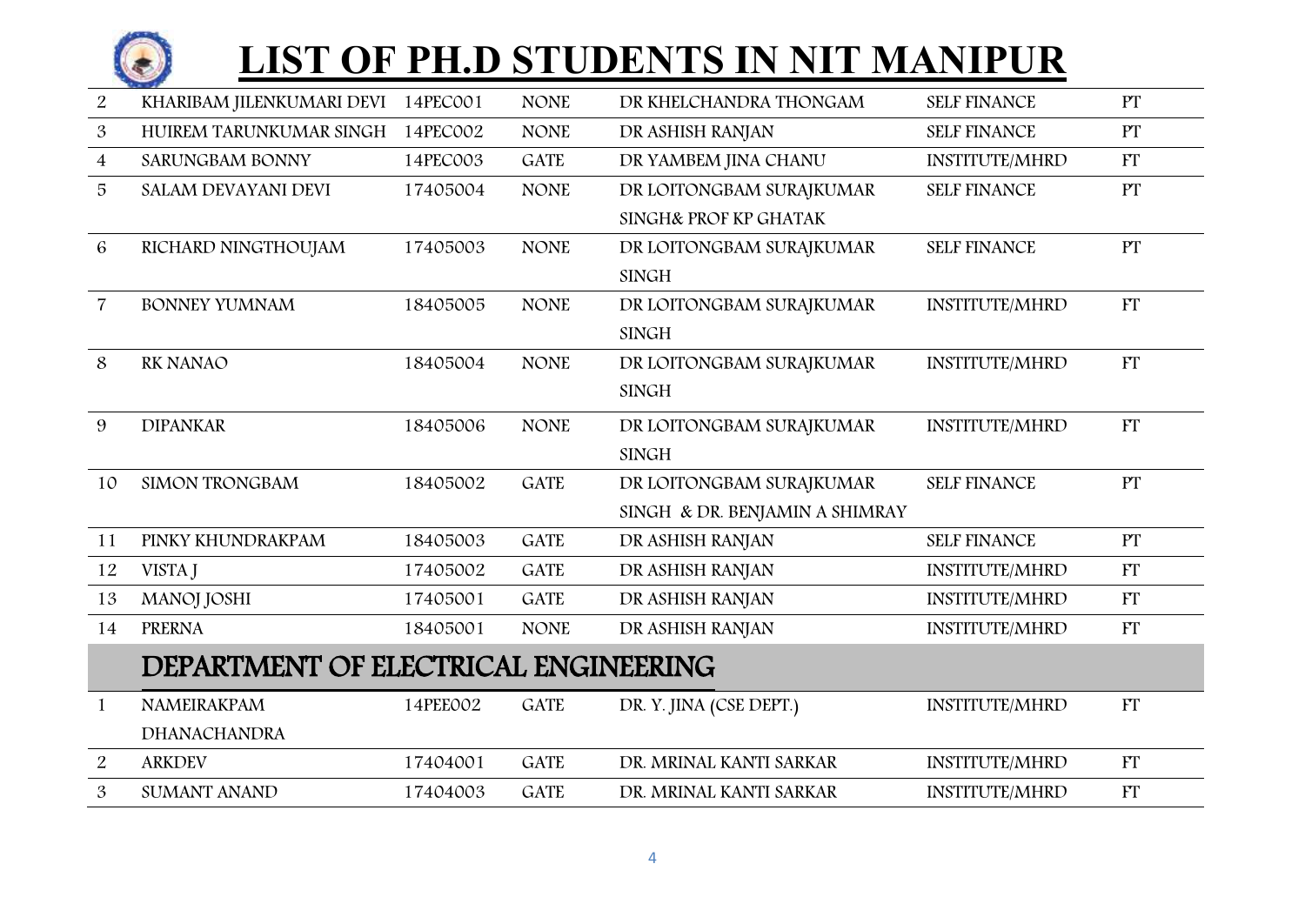

| $\overline{2}$ | KHARIBAM JILENKUMARI DEVI            | 14PEC001 | <b>NONE</b> | DR KHELCHANDRA THONGAM         | <b>SELF FINANCE</b>   | PT        |
|----------------|--------------------------------------|----------|-------------|--------------------------------|-----------------------|-----------|
| $\mathfrak{B}$ | HUIREM TARUNKUMAR SINGH              | 14PEC002 | <b>NONE</b> | DR ASHISH RANJAN               | <b>SELF FINANCE</b>   | PT        |
| $\overline{4}$ | SARUNGBAM BONNY                      | 14PEC003 | <b>GATE</b> | DR YAMBEM JINA CHANU           | <b>INSTITUTE/MHRD</b> | FT        |
| 5              | SALAM DEVAYANI DEVI                  | 17405004 | <b>NONE</b> | DR LOITONGBAM SURAJKUMAR       | <b>SELF FINANCE</b>   | PT        |
|                |                                      |          |             | SINGH& PROF KP GHATAK          |                       |           |
| 6              | RICHARD NINGTHOUJAM                  | 17405003 | <b>NONE</b> | DR LOITONGBAM SURAJKUMAR       | <b>SELF FINANCE</b>   | PT        |
|                |                                      |          |             | <b>SINGH</b>                   |                       |           |
| $\overline{7}$ | <b>BONNEY YUMNAM</b>                 | 18405005 | <b>NONE</b> | DR LOITONGBAM SURAJKUMAR       | <b>INSTITUTE/MHRD</b> | FT        |
|                |                                      |          |             | <b>SINGH</b>                   |                       |           |
| 8              | RK NANAO                             | 18405004 | <b>NONE</b> | DR LOITONGBAM SURAJKUMAR       | <b>INSTITUTE/MHRD</b> | FT        |
|                |                                      |          |             | <b>SINGH</b>                   |                       |           |
| 9              | <b>DIPANKAR</b>                      | 18405006 | <b>NONE</b> | DR LOITONGBAM SURAJKUMAR       | <b>INSTITUTE/MHRD</b> | <b>FT</b> |
|                |                                      |          |             | <b>SINGH</b>                   |                       |           |
| 10             | <b>SIMON TRONGBAM</b>                | 18405002 | <b>GATE</b> | DR LOITONGBAM SURAJKUMAR       | <b>SELF FINANCE</b>   | PT        |
|                |                                      |          |             | SINGH & DR. BENJAMIN A SHIMRAY |                       |           |
| 11             | PINKY KHUNDRAKPAM                    | 18405003 | <b>GATE</b> | DR ASHISH RANJAN               | <b>SELF FINANCE</b>   | PT        |
| 12             | VISTA J                              | 17405002 | <b>GATE</b> | DR ASHISH RANJAN               | <b>INSTITUTE/MHRD</b> | FT        |
| 13             | MANOJ JOSHI                          | 17405001 | <b>GATE</b> | DR ASHISH RANJAN               | <b>INSTITUTE/MHRD</b> | FT        |
| 14             | <b>PRERNA</b>                        | 18405001 | <b>NONE</b> | DR ASHISH RANJAN               | <b>INSTITUTE/MHRD</b> | FT        |
|                | DEPARTMENT OF ELECTRICAL ENGINEERING |          |             |                                |                       |           |
| $\mathbf{1}$   | <b>NAMEIRAKPAM</b>                   | 14PEE002 | <b>GATE</b> | DR. Y. JINA (CSE DEPT.)        | <b>INSTITUTE/MHRD</b> | FT        |
|                | <b>DHANACHANDRA</b>                  |          |             |                                |                       |           |
| $\overline{2}$ | <b>ARKDEV</b>                        | 17404001 | <b>GATE</b> | DR. MRINAL KANTI SARKAR        | <b>INSTITUTE/MHRD</b> | FT        |
| 3              | <b>SUMANT ANAND</b>                  | 17404003 | <b>GATE</b> | DR. MRINAL KANTI SARKAR        | <b>INSTITUTE/MHRD</b> | FT        |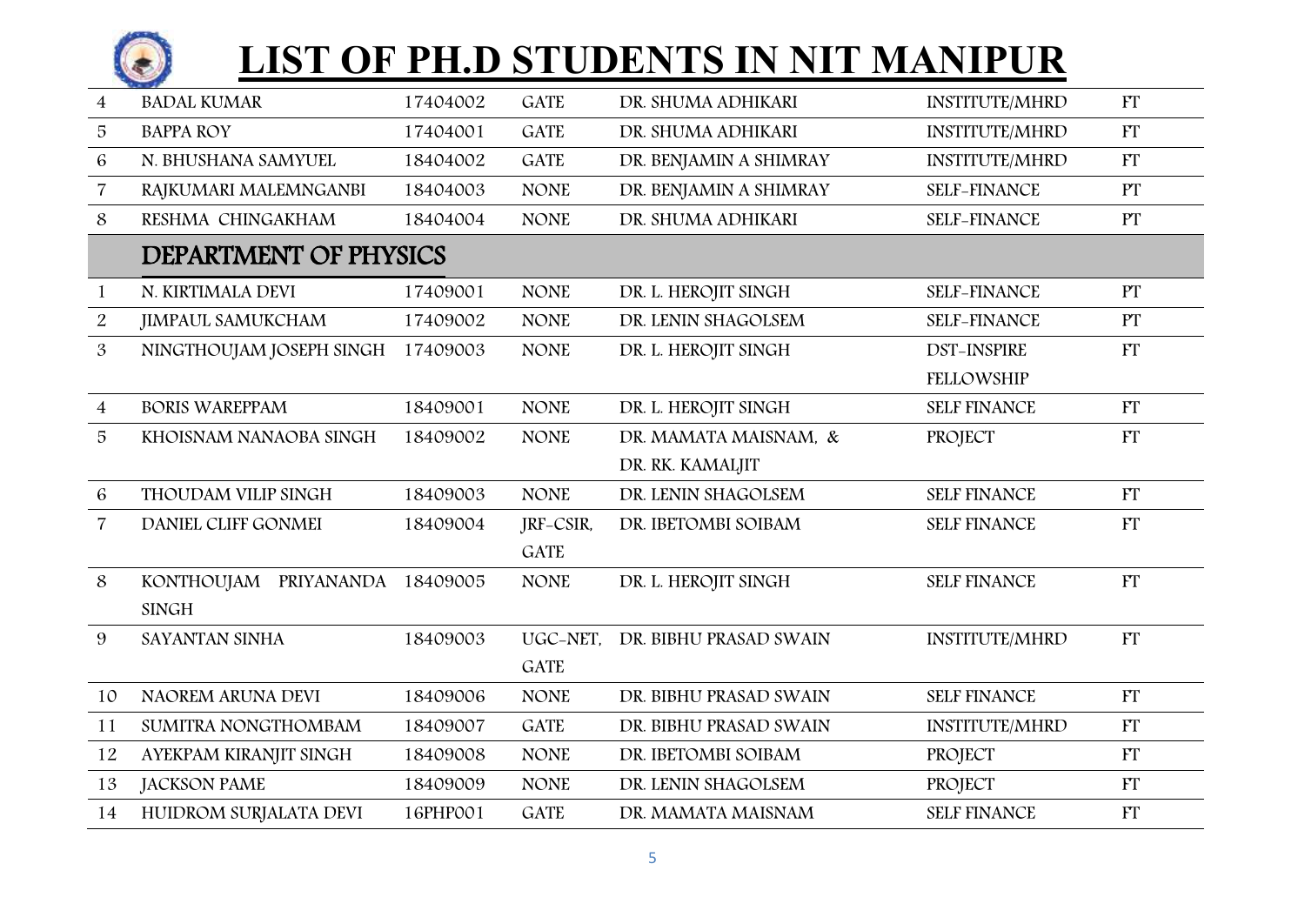

| $\overline{4}$ | <b>BADAL KUMAR</b>             | 17404002 | <b>GATE</b> | DR. SHUMA ADHIKARI     | <b>INSTITUTE/MHRD</b> | FT             |
|----------------|--------------------------------|----------|-------------|------------------------|-----------------------|----------------|
| 5              | <b>BAPPA ROY</b>               | 17404001 | <b>GATE</b> | DR. SHUMA ADHIKARI     | <b>INSTITUTE/MHRD</b> | FT             |
| 6              | N. BHUSHANA SAMYUEL            | 18404002 | <b>GATE</b> | DR. BENJAMIN A SHIMRAY | <b>INSTITUTE/MHRD</b> | FT             |
| $\overline{7}$ | RAJKUMARI MALEMNGANBI          | 18404003 | <b>NONE</b> | DR. BENJAMIN A SHIMRAY | <b>SELF-FINANCE</b>   | PT             |
| 8              | RESHMA CHINGAKHAM              | 18404004 | <b>NONE</b> | DR. SHUMA ADHIKARI     | <b>SELF-FINANCE</b>   | PT             |
|                | DEPARTMENT OF PHYSICS          |          |             |                        |                       |                |
| $\mathbf{1}$   | N. KIRTIMALA DEVI              | 17409001 | <b>NONE</b> | DR. L. HEROJIT SINGH   | <b>SELF-FINANCE</b>   | PT             |
| $\overline{2}$ | <b>JIMPAUL SAMUKCHAM</b>       | 17409002 | <b>NONE</b> | DR. LENIN SHAGOLSEM    | SELF-FINANCE          | PT             |
| $\mathfrak{B}$ | NINGTHOUJAM JOSEPH SINGH       | 17409003 | <b>NONE</b> | DR. L. HEROJIT SINGH   | <b>DST-INSPIRE</b>    | FT             |
|                |                                |          |             |                        | <b>FELLOWSHIP</b>     |                |
| $\overline{4}$ | <b>BORIS WAREPPAM</b>          | 18409001 | <b>NONE</b> | DR. L. HEROJIT SINGH   | <b>SELF FINANCE</b>   | FT             |
| 5              | KHOISNAM NANAOBA SINGH         | 18409002 | <b>NONE</b> | DR. MAMATA MAISNAM, &  | PROJECT               | FT             |
|                |                                |          |             | DR. RK. KAMALJIT       |                       |                |
| 6              | THOUDAM VILIP SINGH            | 18409003 | <b>NONE</b> | DR. LENIN SHAGOLSEM    | <b>SELF FINANCE</b>   | FT             |
| $\overline{7}$ | DANIEL CLIFF GONMEI            | 18409004 | JRF-CSIR,   | DR. IBETOMBI SOIBAM    | <b>SELF FINANCE</b>   | $\Gamma\Gamma$ |
|                |                                |          | <b>GATE</b> |                        |                       |                |
| 8              | KONTHOUJAM PRIYANANDA 18409005 |          | <b>NONE</b> | DR. L. HEROJIT SINGH   | <b>SELF FINANCE</b>   | FT             |
|                | <b>SINGH</b>                   |          |             |                        |                       |                |
| 9              | SAYANTAN SINHA                 | 18409003 | UGC-NET.    | DR. BIBHU PRASAD SWAIN | <b>INSTITUTE/MHRD</b> | FT             |
|                |                                |          | <b>GATE</b> |                        |                       |                |
| 10             | NAOREM ARUNA DEVI              | 18409006 | <b>NONE</b> | DR. BIBHU PRASAD SWAIN | <b>SELF FINANCE</b>   | FT             |
| 11             | SUMITRA NONGTHOMBAM            | 18409007 | <b>GATE</b> | DR. BIBHU PRASAD SWAIN | <b>INSTITUTE/MHRD</b> | FT             |
| 12             | AYEKPAM KIRANJIT SINGH         | 18409008 | <b>NONE</b> | DR. IBETOMBI SOIBAM    | PROJECT               | FT             |
| 13             | <b>JACKSON PAME</b>            | 18409009 | <b>NONE</b> | DR. LENIN SHAGOLSEM    | PROJECT               | FT             |
| 14             | HUIDROM SURJALATA DEVI         | 16PHP001 | <b>GATE</b> | DR. MAMATA MAISNAM     | <b>SELF FINANCE</b>   | FT             |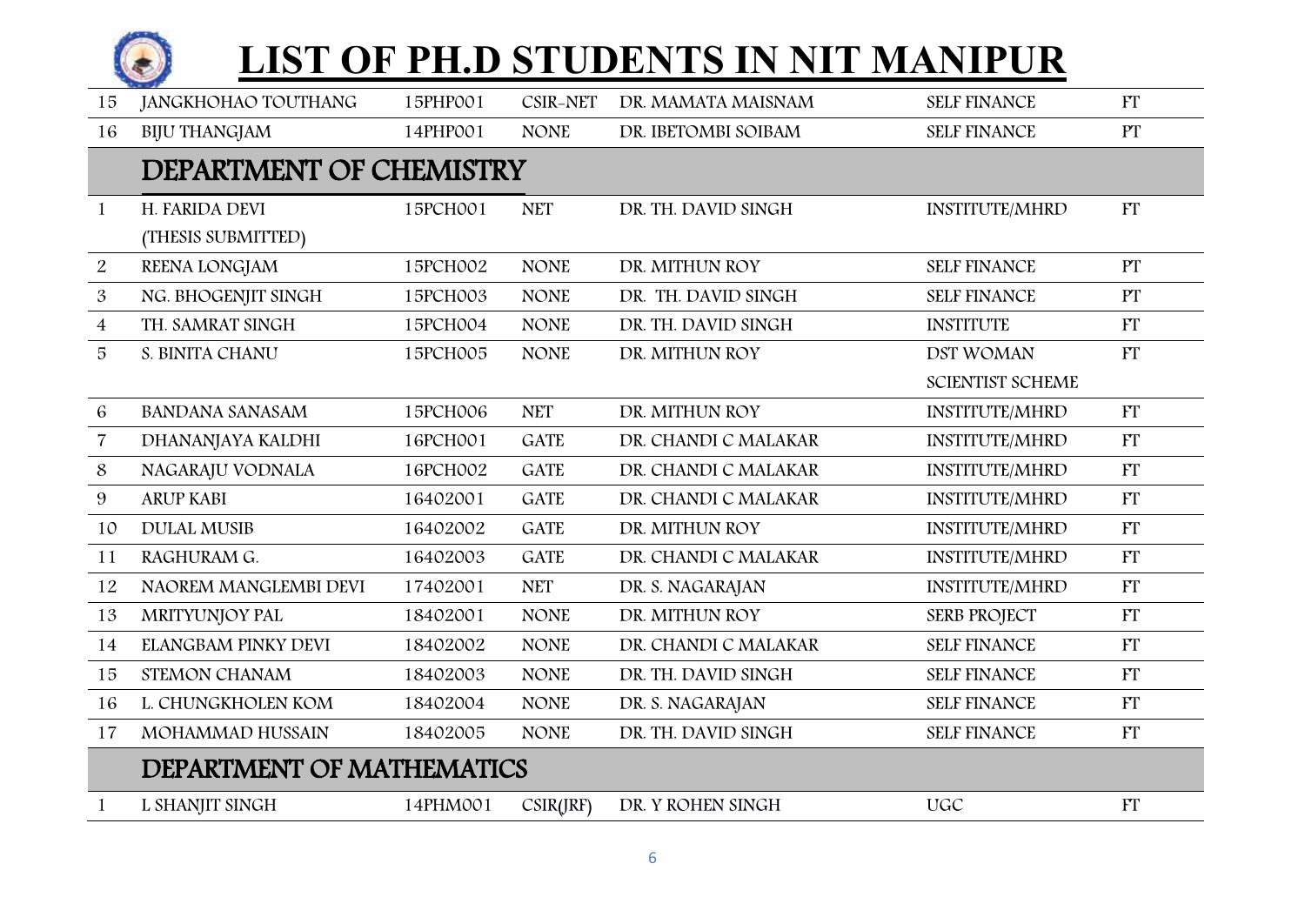| 15             | JANGKHOHAO TOUTHANG            | 15PHP001 | <b>CSIR-NET</b> | DR. MAMATA MAISNAM   | <b>SELF FINANCE</b>     | FT        |
|----------------|--------------------------------|----------|-----------------|----------------------|-------------------------|-----------|
| 16             | <b>BIJU THANGJAM</b>           | 14PHP001 | <b>NONE</b>     | DR. IBETOMBI SOIBAM  | <b>SELF FINANCE</b>     | PT        |
|                | <b>DEPARTMENT OF CHEMISTRY</b> |          |                 |                      |                         |           |
| $\mathbf{1}$   | H. FARIDA DEVI                 | 15PCH001 | <b>NET</b>      | DR. TH. DAVID SINGH  | <b>INSTITUTE/MHRD</b>   | <b>FT</b> |
|                | (THESIS SUBMITTED)             |          |                 |                      |                         |           |
| 2              | REENA LONGJAM                  | 15PCH002 | <b>NONE</b>     | DR. MITHUN ROY       | <b>SELF FINANCE</b>     | PT        |
| $\mathfrak{B}$ | NG. BHOGENJIT SINGH            | 15PCH003 | <b>NONE</b>     | DR. TH. DAVID SINGH  | <b>SELF FINANCE</b>     | PT        |
| $\overline{4}$ | TH. SAMRAT SINGH               | 15PCH004 | <b>NONE</b>     | DR. TH. DAVID SINGH  | <b>INSTITUTE</b>        | FT        |
| 5              | S. BINITA CHANU                | 15PCH005 | <b>NONE</b>     | DR. MITHUN ROY       | <b>DST WOMAN</b>        | FT        |
|                |                                |          |                 |                      | <b>SCIENTIST SCHEME</b> |           |
| 6              | <b>BANDANA SANASAM</b>         | 15PCH006 | <b>NET</b>      | DR. MITHUN ROY       | <b>INSTITUTE/MHRD</b>   | FT        |
| $\overline{7}$ | DHANANJAYA KALDHI              | 16PCH001 | <b>GATE</b>     | DR. CHANDI C MALAKAR | <b>INSTITUTE/MHRD</b>   | FT        |
| 8              | NAGARAJU VODNALA               | 16PCH002 | <b>GATE</b>     | DR. CHANDI C MALAKAR | <b>INSTITUTE/MHRD</b>   | <b>FT</b> |
| 9              | <b>ARUP KABI</b>               | 16402001 | <b>GATE</b>     | DR. CHANDI C MALAKAR | <b>INSTITUTE/MHRD</b>   | FT        |
| 10             | <b>DULAL MUSIB</b>             | 16402002 | <b>GATE</b>     | DR. MITHUN ROY       | <b>INSTITUTE/MHRD</b>   | <b>FT</b> |
| 11             | RAGHURAM G.                    | 16402003 | <b>GATE</b>     | DR. CHANDI C MALAKAR | <b>INSTITUTE/MHRD</b>   | <b>FT</b> |
| 12             | NAOREM MANGLEMBI DEVI          | 17402001 | <b>NET</b>      | DR. S. NAGARAJAN     | <b>INSTITUTE/MHRD</b>   | FT        |
| 13             | MRITYUNJOY PAL                 | 18402001 | <b>NONE</b>     | DR. MITHUN ROY       | SERB PROJECT            | <b>FT</b> |
| 14             | ELANGBAM PINKY DEVI            | 18402002 | <b>NONE</b>     | DR. CHANDI C MALAKAR | <b>SELF FINANCE</b>     | <b>FT</b> |
| 15             | STEMON CHANAM                  | 18402003 | <b>NONE</b>     | DR. TH. DAVID SINGH  | <b>SELF FINANCE</b>     | FT        |
| 16             | L. CHUNGKHOLEN KOM             | 18402004 | <b>NONE</b>     | DR. S. NAGARAJAN     | <b>SELF FINANCE</b>     | FT        |
| 17             | MOHAMMAD HUSSAIN               | 18402005 | <b>NONE</b>     | DR. TH. DAVID SINGH  | <b>SELF FINANCE</b>     | <b>FT</b> |
|                | DEPARTMENT OF MATHEMATICS      |          |                 |                      |                         |           |
| 1              | L SHANJIT SINGH                | 14PHM001 | CSIR(JRF)       | DR. Y ROHEN SINGH    | <b>UGC</b>              | FT        |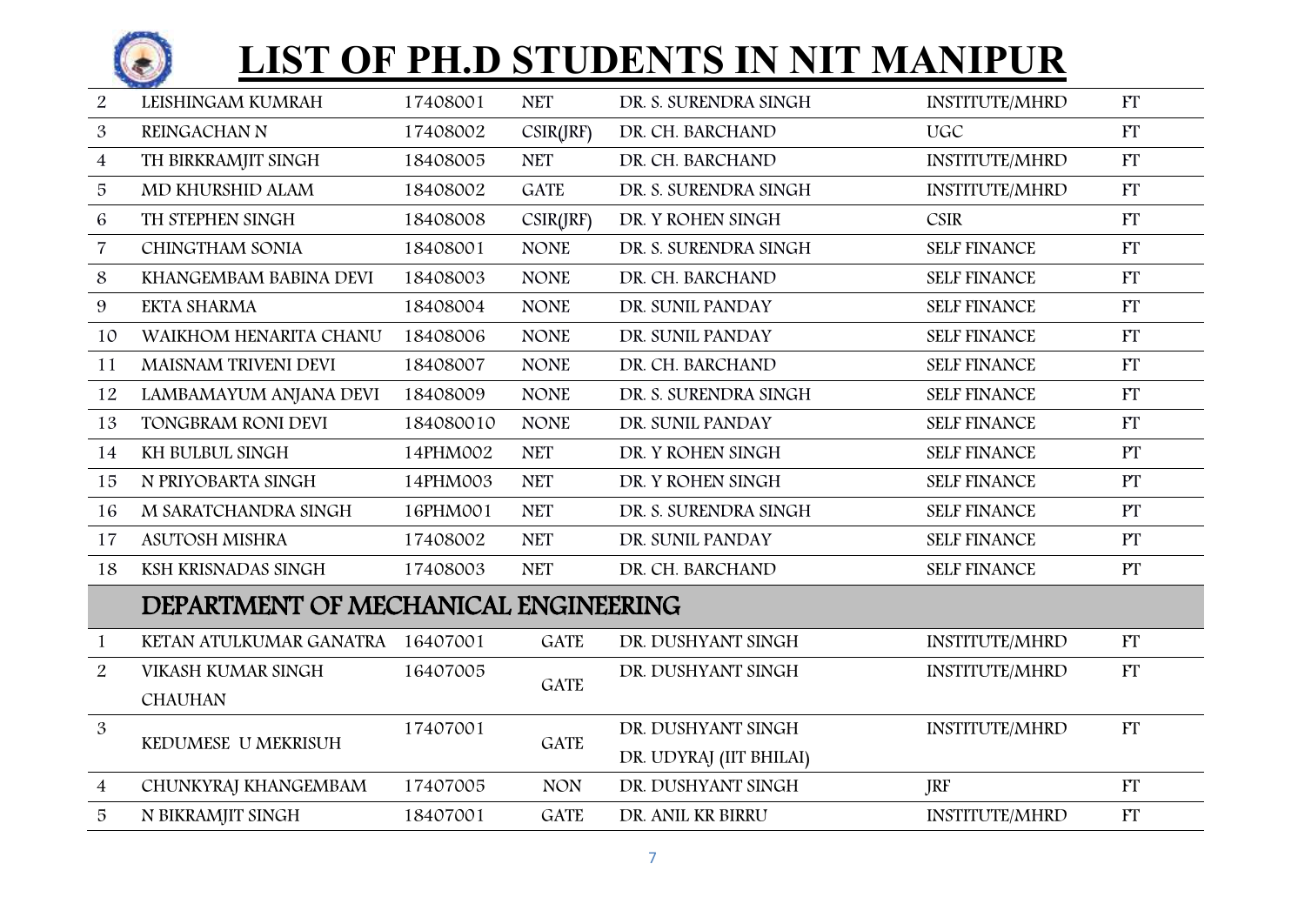

| $\overline{2}$ | LEISHINGAM KUMRAH                    | 17408001  | <b>NET</b>  | DR. S. SURENDRA SINGH   | <b>INSTITUTE/MHRD</b> | <b>FT</b> |
|----------------|--------------------------------------|-----------|-------------|-------------------------|-----------------------|-----------|
| $\mathfrak{B}$ | REINGACHAN N                         | 17408002  | CSIR(JRF)   | DR. CH. BARCHAND        | <b>UGC</b>            | FT        |
| $\overline{4}$ | TH BIRKRAMJIT SINGH                  | 18408005  | <b>NET</b>  | DR. CH. BARCHAND        | <b>INSTITUTE/MHRD</b> | <b>FT</b> |
| 5              | MD KHURSHID ALAM                     | 18408002  | <b>GATE</b> | DR. S. SURENDRA SINGH   | <b>INSTITUTE/MHRD</b> | <b>FT</b> |
| 6              | TH STEPHEN SINGH                     | 18408008  | CSIR(JRF)   | DR. Y ROHEN SINGH       | CSIR                  | FT        |
| $\overline{7}$ | <b>CHINGTHAM SONIA</b>               | 18408001  | <b>NONE</b> | DR. S. SURENDRA SINGH   | <b>SELF FINANCE</b>   | FT        |
| $\,8\,$        | KHANGEMBAM BABINA DEVI               | 18408003  | <b>NONE</b> | DR. CH. BARCHAND        | <b>SELF FINANCE</b>   | <b>FT</b> |
| 9              | EKTA SHARMA                          | 18408004  | <b>NONE</b> | DR. SUNIL PANDAY        | <b>SELF FINANCE</b>   | FT        |
| 10             | WAIKHOM HENARITA CHANU               | 18408006  | <b>NONE</b> | DR. SUNIL PANDAY        | <b>SELF FINANCE</b>   | <b>FT</b> |
| 11             | MAISNAM TRIVENI DEVI                 | 18408007  | <b>NONE</b> | DR. CH. BARCHAND        | <b>SELF FINANCE</b>   | FT        |
| 12             | LAMBAMAYUM ANJANA DEVI               | 18408009  | <b>NONE</b> | DR. S. SURENDRA SINGH   | <b>SELF FINANCE</b>   | <b>FT</b> |
| 13             | TONGBRAM RONI DEVI                   | 184080010 | <b>NONE</b> | DR. SUNIL PANDAY        | <b>SELF FINANCE</b>   | <b>FT</b> |
| 14             | KH BULBUL SINGH                      | 14PHM002  | <b>NET</b>  | DR. Y ROHEN SINGH       | <b>SELF FINANCE</b>   | PT        |
| 15             | N PRIYOBARTA SINGH                   | 14PHM003  | <b>NET</b>  | DR. Y ROHEN SINGH       | <b>SELF FINANCE</b>   | PT        |
| 16             | M SARATCHANDRA SINGH                 | 16PHM001  | <b>NET</b>  | DR. S. SURENDRA SINGH   | <b>SELF FINANCE</b>   | PT        |
| 17             | <b>ASUTOSH MISHRA</b>                | 17408002  | <b>NET</b>  | DR. SUNIL PANDAY        | <b>SELF FINANCE</b>   | PT        |
| 18             | KSH KRISNADAS SINGH                  | 17408003  | <b>NET</b>  | DR. CH. BARCHAND        | <b>SELF FINANCE</b>   | PT        |
|                | DEPARTMENT OF MECHANICAL ENGINEERING |           |             |                         |                       |           |
| $\mathbf{1}$   | KETAN ATULKUMAR GANATRA 16407001     |           | <b>GATE</b> | DR. DUSHYANT SINGH      | <b>INSTITUTE/MHRD</b> | FT        |
| 2              | VIKASH KUMAR SINGH                   | 16407005  | <b>GATE</b> | DR. DUSHYANT SINGH      | <b>INSTITUTE/MHRD</b> | FT        |
|                | <b>CHAUHAN</b>                       |           |             |                         |                       |           |
| $\mathfrak{B}$ | KEDUMESE U MEKRISUH                  | 17407001  |             | DR. DUSHYANT SINGH      | <b>INSTITUTE/MHRD</b> | <b>FT</b> |
|                |                                      |           | <b>GATE</b> | DR. UDYRAJ (IIT BHILAI) |                       |           |
| $\overline{4}$ | CHUNKYRAJ KHANGEMBAM                 | 17407005  | <b>NON</b>  | DR. DUSHYANT SINGH      | <b>JRF</b>            | <b>FT</b> |
| 5              | N BIKRAMJIT SINGH                    | 18407001  | <b>GATE</b> | DR. ANIL KR BIRRU       | <b>INSTITUTE/MHRD</b> | <b>FT</b> |